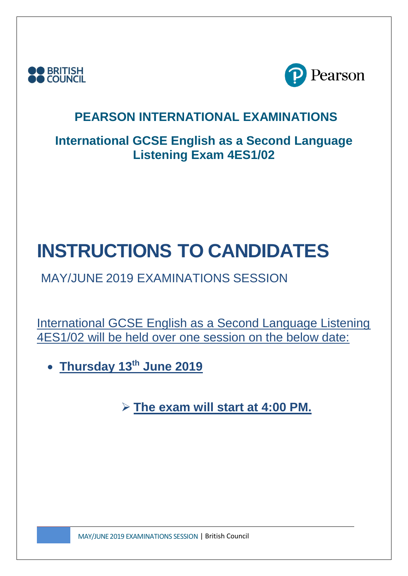



## **International GCSE English as a Second Language Listening Exam 4ES1/02**

# **INSTRUCTIONS TO CANDIDATES**

# MAY/JUNE 2019 EXAMINATIONS SESSION

International GCSE English as a Second Language Listening 4ES1/02 will be held over one session on the below date:

• **Thursday 13 th June 2019**

➢ **The exam will start at 4:00 PM.**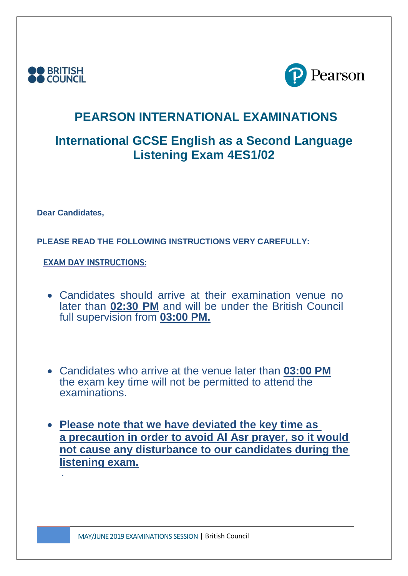



## **International GCSE English as a Second Language Listening Exam 4ES1/02**

**Dear Candidates,**

**PLEASE READ THE FOLLOWING INSTRUCTIONS VERY CAREFULLY:**

**EXAM DAY INSTRUCTIONS:**

- Candidates should arrive at their examination venue no later than **02:30 PM** and will be under the British Council full supervision from **03:00 PM.**
- Candidates who arrive at the venue later than **03:00 PM** the exam key time will not be permitted to attend the examinations.
- **Please note that we have deviated the key time as a precaution in order to avoid Al Asr prayer, so it would not cause any disturbance to our candidates during the listening exam.** .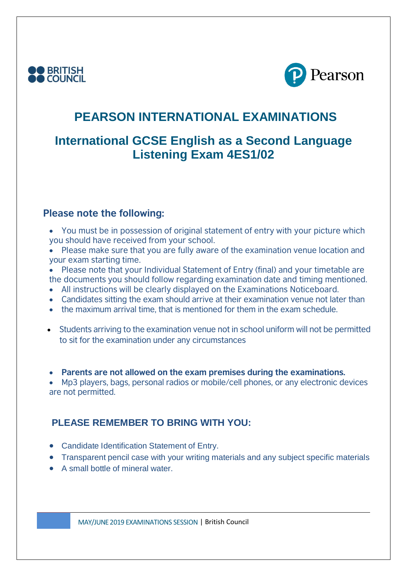



## **International GCSE English as a Second Language Listening Exam 4ES1/02**

#### **Please note the following:**

- You must be in possession of original statement of entry with your picture which you should have received from your school.
- Please make sure that you are fully aware of the examination venue location and your exam starting time.
- Please note that your Individual Statement of Entry (final) and your timetable are the documents you should follow regarding examination date and timing mentioned.
- All instructions will be clearly displayed on the Examinations Noticeboard.
- Candidates sitting the exam should arrive at their examination venue not later than
- the maximum arrival time, that is mentioned for them in the exam schedule.
- Students arriving to the examination venue not in school uniform will not be permitted to sit for the examination under any circumstances

• **Parents are not allowed on the exam premises during the examinations.**

• Mp3 players, bags, personal radios or mobile/cell phones, or any electronic devices are not permitted.

#### **PLEASE REMEMBER TO BRING WITH YOU:**

- Candidate Identification Statement of Entry.
- Transparent pencil case with your writing materials and any subject specific materials
- A small bottle of mineral water.